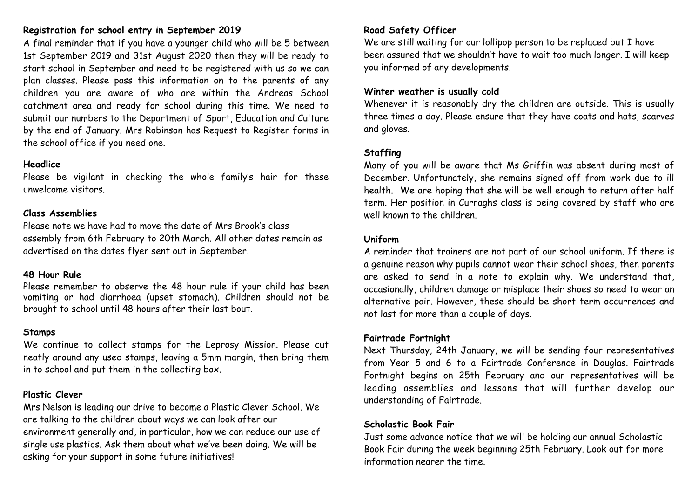# **Registration for school entry in September 2019**

A final reminder that if you have a younger child who will be 5 between 1st September 2019 and 31st August 2020 then they will be ready to start school in September and need to be registered with us so we can plan classes. Please pass this information on to the parents of any children you are aware of who are within the Andreas School catchment area and ready for school during this time. We need to submit our numbers to the Department of Sport, Education and Culture by the end of January. Mrs Robinson has Request to Register forms in the school office if you need one.

#### **Headlice**

Please be vigilant in checking the whole family's hair for these unwelcome visitors.

#### **Class Assemblies**

Please note we have had to move the date of Mrs Brook's class assembly from 6th February to 20th March. All other dates remain as advertised on the dates flyer sent out in September.

#### **48 Hour Rule**

Please remember to observe the 48 hour rule if your child has been vomiting or had diarrhoea (upset stomach). Children should not be brought to school until 48 hours after their last bout.

#### **Stamps**

We continue to collect stamps for the Leprosy Mission. Please cut neatly around any used stamps, leaving a 5mm margin, then bring them in to school and put them in the collecting box.

# **Plastic Clever**

Mrs Nelson is leading our drive to become a Plastic Clever School. We are talking to the children about ways we can look after our environment generally and, in particular, how we can reduce our use of single use plastics. Ask them about what we've been doing. We will be asking for your support in some future initiatives!

# **Road Safety Officer**

We are still waiting for our lollipop person to be replaced but I have been assured that we shouldn't have to wait too much longer. I will keep you informed of any developments.

#### **Winter weather is usually cold**

Whenever it is reasonably dry the children are outside. This is usually three times a day. Please ensure that they have coats and hats, scarves and gloves.

# **Staffing**

Many of you will be aware that Ms Griffin was absent during most of December. Unfortunately, she remains signed off from work due to ill health. We are hoping that she will be well enough to return after half term. Her position in Curraghs class is being covered by staff who are well known to the children.

#### **Uniform**

A reminder that trainers are not part of our school uniform. If there is a genuine reason why pupils cannot wear their school shoes, then parents are asked to send in a note to explain why. We understand that, occasionally, children damage or misplace their shoes so need to wear an alternative pair. However, these should be short term occurrences and not last for more than a couple of days.

# **Fairtrade Fortnight**

Next Thursday, 24th January, we will be sending four representatives from Year 5 and 6 to a Fairtrade Conference in Douglas. Fairtrade Fortnight begins on 25th February and our representatives will be leading assemblies and lessons that will further develop our understanding of Fairtrade.

# **Scholastic Book Fair**

Just some advance notice that we will be holding our annual Scholastic Book Fair during the week beginning 25th February. Look out for more information nearer the time.